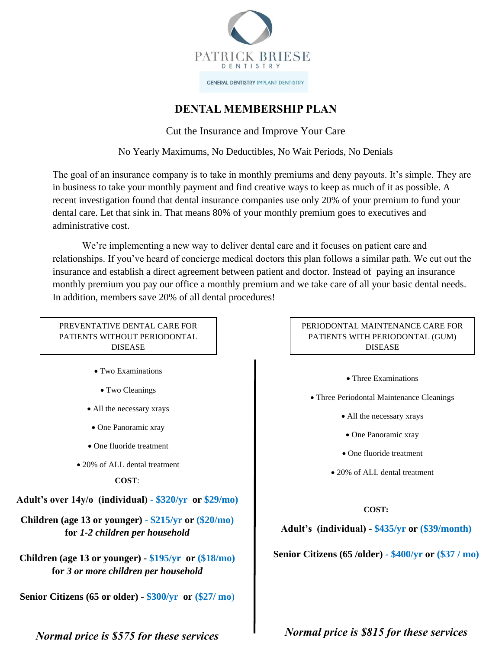

**GENERAL DENTISTRY IMPLANT DENTISTRY** 

# **DENTAL MEMBERSHIP PLAN**

Cut the Insurance and Improve Your Care

No Yearly Maximums, No Deductibles, No Wait Periods, No Denials

The goal of an insurance company is to take in monthly premiums and deny payouts. It's simple. They are in business to take your monthly payment and find creative ways to keep as much of it as possible. A recent investigation found that dental insurance companies use only 20% of your premium to fund your dental care. Let that sink in. That means 80% of your monthly premium goes to executives and administrative cost.

We're implementing a new way to deliver dental care and it focuses on patient care and relationships. If you've heard of concierge medical doctors this plan follows a similar path. We cut out the insurance and establish a direct agreement between patient and doctor. Instead of paying an insurance monthly premium you pay our office a monthly premium and we take care of all your basic dental needs. In addition, members save 20% of all dental procedures!

PREVENTATIVE DENTAL CARE FOR PATIENTS WITHOUT PERIODONTAL DISEASE

- Two Examinations
	- Two Cleanings
- All the necessary xrays
- One Panoramic xray
- One fluoride treatment
- 20% of ALL dental treatment

### **COST**:

**Adult's over 14y/o (individual) - \$320/yr or \$29/mo)**

**Children (age 13 or younger) - \$215/yr or (\$20/mo) for** *1-2 children per household*

**Children (age 13 or younger) - \$195/yr or (\$18/mo) for** *3 or more children per household*

**Senior Citizens (65 or older) - \$300/yr or (\$27/ mo**)

*Normal price is \$575 for these services*

### PERIODONTAL MAINTENANCE CARE FOR PATIENTS WITH PERIODONTAL (GUM) DISEASE

- Three Examinations
- Three Periodontal Maintenance Cleanings
	- All the necessary xrays
	- One Panoramic xray
	- One fluoride treatment
	- 20% of ALL dental treatment

### **COST:**

**Adult's (individual) - \$435/yr or (\$39/month)**

**Senior Citizens (65 /older) - \$400/yr or (\$37 / mo)**

*Normal price is \$815 for these services*